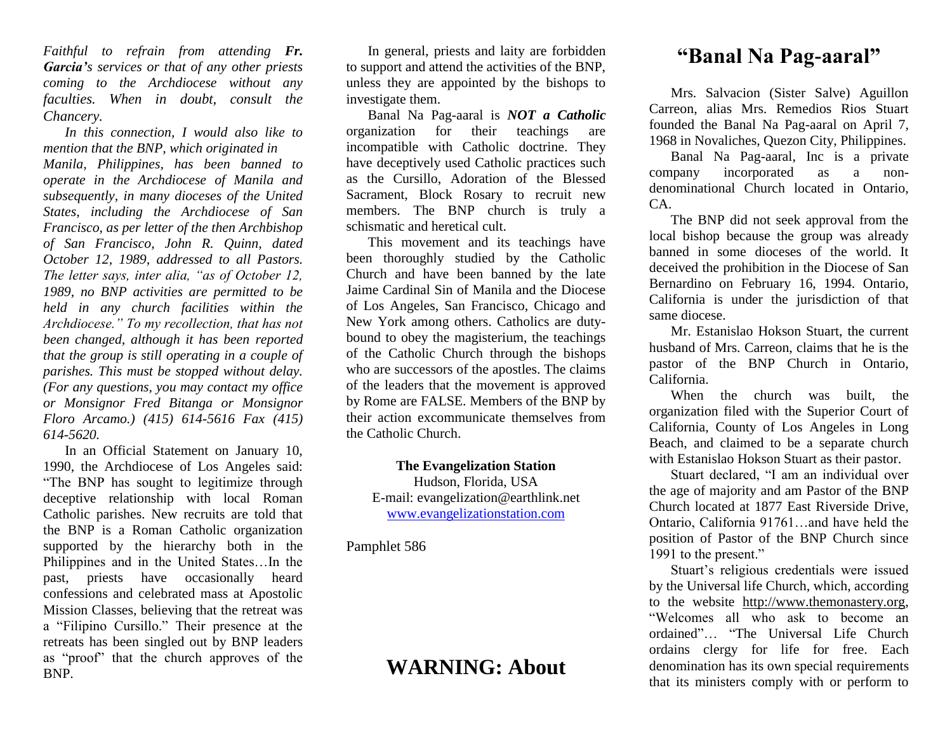*Faithful to refrain from attending Fr. Garcia's services or that of any other priests coming to the Archdiocese without any faculties. When in doubt, consult the Chancery.*

*In this connection, I would also like to mention that the BNP, which originated in Manila, Philippines, has been banned to operate in the Archdiocese of Manila and subsequently, in many dioceses of the United States, including the Archdiocese of San Francisco, as per letter of the then Archbishop of San Francisco, John R. Quinn, dated October 12, 1989, addressed to all Pastors. The letter says, inter alia, "as of October 12, 1989, no BNP activities are permitted to be held in any church facilities within the Archdiocese." To my recollection, that has not been changed, although it has been reported that the group is still operating in a couple of parishes. This must be stopped without delay. (For any questions, you may contact my office or Monsignor Fred Bitanga or Monsignor Floro Arcamo.) (415) 614-5616 Fax (415) 614-5620.*

In an Official Statement on January 10, 1990, the Archdiocese of Los Angeles said: "The BNP has sought to legitimize through deceptive relationship with local Roman Catholic parishes. New recruits are told that the BNP is a Roman Catholic organization supported by the hierarchy both in the Philippines and in the United States…In the past, priests have occasionally heard confessions and celebrated mass at Apostolic Mission Classes, believing that the retreat was a "Filipino Cursillo." Their presence at the retreats has been singled out by BNP leaders as "proof" that the church approves of the BNP.

In general, priests and laity are forbidden to support and attend the activities of the BNP, unless they are appointed by the bishops to investigate them.

Banal Na Pag-aaral is *NOT a Catholic*  organization for their teachings are incompatible with Catholic doctrine. They have deceptively used Catholic practices such as the Cursillo, Adoration of the Blessed Sacrament, Block Rosary to recruit new members. The BNP church is truly a schismatic and heretical cult.

This movement and its teachings have been thoroughly studied by the Catholic Church and have been banned by the late Jaime Cardinal Sin of Manila and the Diocese of Los Angeles, San Francisco, Chicago and New York among others. Catholics are dutybound to obey the magisterium, the teachings of the Catholic Church through the bishops who are successors of the apostles. The claims of the leaders that the movement is approved by Rome are FALSE. Members of the BNP by their action excommunicate themselves from the Catholic Church.

## **The Evangelization Station** Hudson, Florida, USA

E-mail: evangelization@earthlink.net [www.evangelizationstation.com](http://www.pjpiisoe.org/)

Pamphlet 586

## **WARNING: About**

## **"Banal Na Pag-aaral"**

Mrs. Salvacion (Sister Salve) Aguillon Carreon, alias Mrs. Remedios Rios Stuart founded the Banal Na Pag-aaral on April 7, 1968 in Novaliches, Quezon City, Philippines.

Banal Na Pag-aaral, Inc is a private company incorporated as a nondenominational Church located in Ontario,  $\mathsf{C}\mathsf{A}$ 

The BNP did not seek approval from the local bishop because the group was already banned in some dioceses of the world. It deceived the prohibition in the Diocese of San Bernardino on February 16, 1994. Ontario, California is under the jurisdiction of that same diocese.

Mr. Estanislao Hokson Stuart, the current husband of Mrs. Carreon, claims that he is the pastor of the BNP Church in Ontario, California.

When the church was built, the organization filed with the Superior Court of California, County of Los Angeles in Long Beach, and claimed to be a separate church with Estanislao Hokson Stuart as their pastor.

Stuart declared, "I am an individual over the age of majority and am Pastor of the BNP Church located at 1877 East Riverside Drive, Ontario, California 91761…and have held the position of Pastor of the BNP Church since 1991 to the present."

Stuart's religious credentials were issued by the Universal life Church, which, according to the website [http://www.themonastery.org,](http://www.themonastery.org/) "Welcomes all who ask to become an ordained"… "The Universal Life Church ordains clergy for life for free. Each denomination has its own special requirements that its ministers comply with or perform to